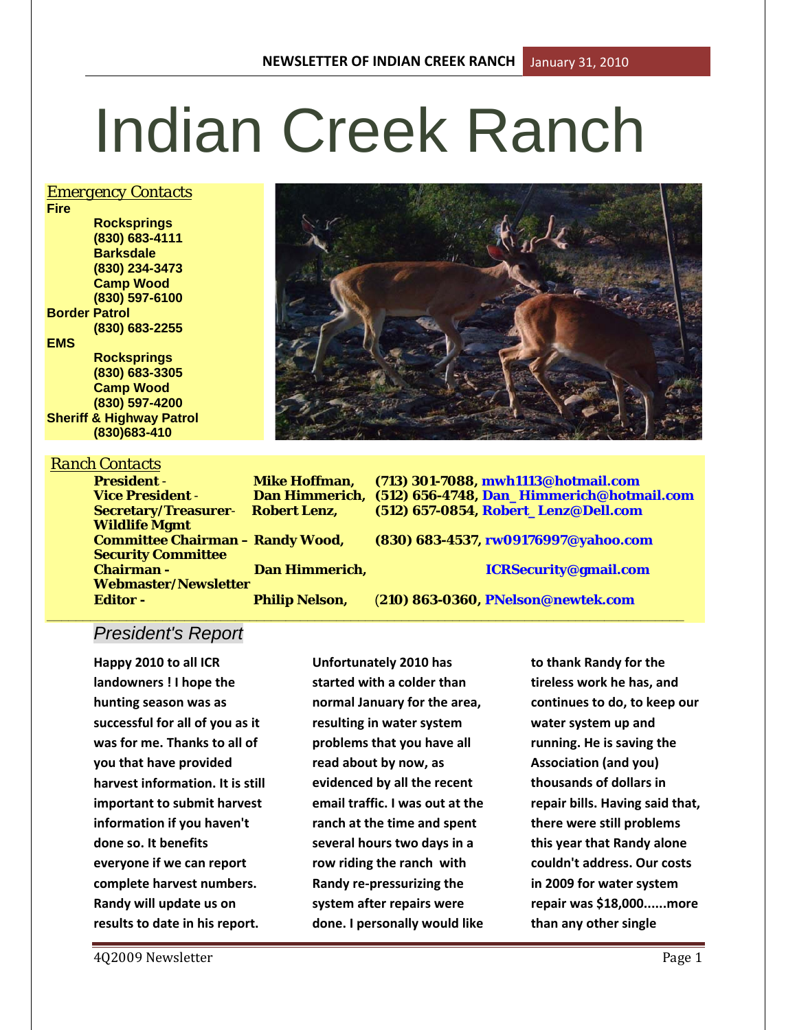# Indian Creek Ranch

#### *Emergency Contacts*

**Fire Rocksprings (830) 683-4111 Barksdale (830) 234-3473 Camp Wood (830) 597-6100 Border Patrol (830) 683-2255 EMS Rocksprings (830) 683-3305 Camp Wood (830) 597-4200 Sheriff & Highway Patrol**

**(830)683-410**

# *Ranch Contacts*

**Wildlife Mgmt** 

**President** - **Mike Hoffman, (713) 301-7088, mwh1113@hotmail.com Vice President** - **Dan Himmerich, (512) 656-4748, Dan\_Himmerich@hotmail.com Secretary/Treasurer**- **Robert Lenz, (512) 657-0854, Robert\_Lenz@Dell.com**

**Committee Chairman – Randy Wood, (830) 683-4537, rw09176997@yahoo.com**

**Chairman - Dan Himmerich, ICRSecurity@gmail.com**

**\_\_\_\_\_\_\_\_\_\_\_\_\_\_\_\_\_\_\_\_\_\_\_\_\_\_\_\_\_\_\_\_\_\_\_\_\_\_\_\_\_\_\_\_\_\_\_\_\_\_\_\_\_\_\_\_\_\_\_\_\_\_\_\_\_\_\_\_\_\_\_\_\_\_\_\_\_\_\_\_\_\_\_\_\_\_\_\_**

**Editor - Philip Nelson,** (**210) 863-0360, PNelson@newtek.com**

# *President's Report*

**Webmaster/Newsletter** 

**Security Committee** 

**Happy 2010 to all ICR landowners ! I hope the hunting season was as successful for all of you as it was for me. Thanks to all of you that have provided harvest information. It is still important to submit harvest information if you haven't done so. It benefits everyone if we can report complete harvest numbers. Randy will update us on results to date in his report.**

**Unfortunately 2010 has started with a colder than normal January for the area, resulting in water system problems that you have all read about by now, as evidenced by all the recent email traffic. I was out at the ranch at the time and spent several hours two days in a row riding the ranch with Randy re-pressurizing the system after repairs were done. I personally would like** 

**to thank Randy for the tireless work he has, and continues to do, to keep our water system up and running. He is saving the Association (and you) thousands of dollars in repair bills. Having said that, there were still problems this year that Randy alone couldn't address. Our costs in 2009 for water system repair was \$18,000......more than any other single** 

4Q2009 Newsletter **Page 1** 

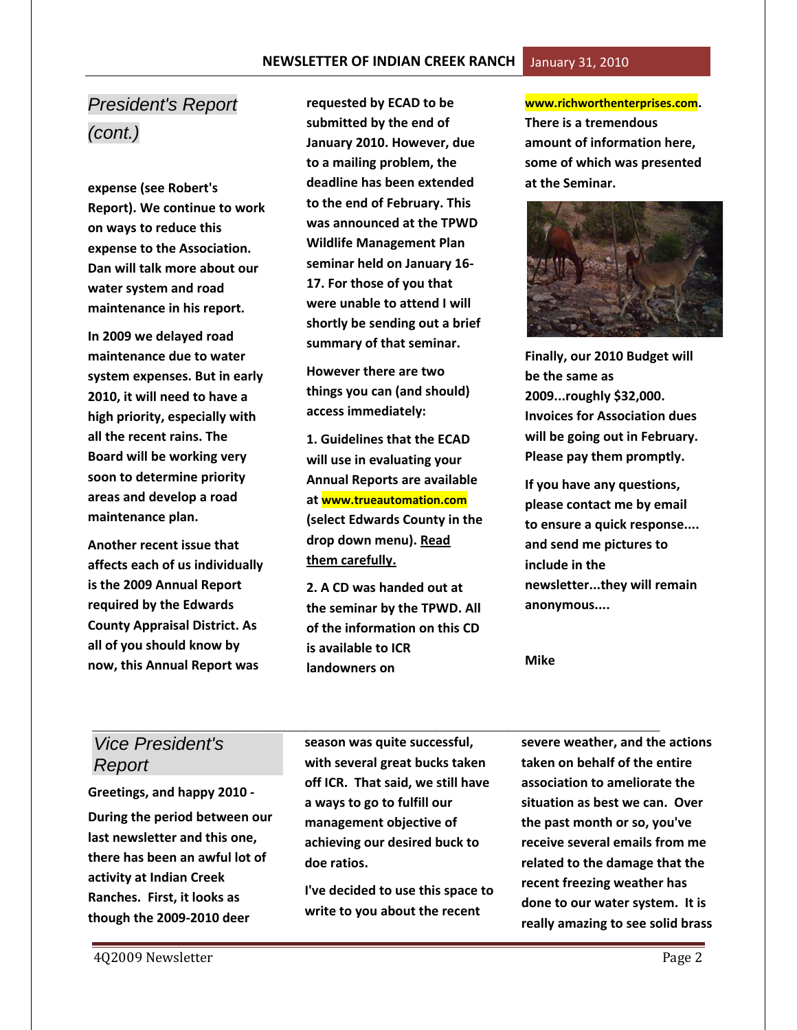# *President's Report (cont.)*

**expense (see Robert's Report). We continue to work on ways to reduce this expense to the Association. Dan will talk more about our water system and road maintenance in his report.**

**In 2009 we delayed road maintenance due to water system expenses. But in early 2010, it will need to have a high priority, especially with all the recent rains. The Board will be working very soon to determine priority areas and develop a road maintenance plan.**

**Another recent issue that affects each of us individually is the 2009 Annual Report required by the Edwards County Appraisal District. As all of you should know by now, this Annual Report was** 

**requested by ECAD to be submitted by the end of January 2010. However, due to a mailing problem, the deadline has been extended to the end of February. This was announced at the TPWD Wildlife Management Plan seminar held on January 16- 17. For those of you that were unable to attend I will shortly be sending out a brief summary of that seminar.** 

**However there are two things you can (and should) access immediately:**

**1. Guidelines that the ECAD will use in evaluating your Annual Reports are available at www.trueautomation.com (select Edwards County in the drop down menu). Read them carefully.**

**2. A CD was handed out at the seminar by the TPWD. All of the information on this CD is available to ICR landowners on** 

**www.richworthenterprises.com. There is a tremendous amount of information here, some of which was presented at the Seminar.**



**Finally, our 2010 Budget will be the same as 2009...roughly \$32,000. Invoices for Association dues will be going out in February. Please pay them promptly.**

**If you have any questions, please contact me by email to ensure a quick response.... and send me pictures to include in the newsletter...they will remain anonymous....**

**Mike**

# *Vice President's Report*

**Greetings, and happy 2010 -**

**During the period between our last newsletter and this one, there has been an awful lot of activity at Indian Creek Ranches. First, it looks as though the 2009-2010 deer** 

**season was quite successful, with several great bucks taken off ICR. That said, we still have a ways to go to fulfill our management objective of achieving our desired buck to doe ratios.**

**I've decided to use this space to write to you about the recent** 

*\_\_\_\_\_\_\_\_\_\_\_\_\_\_\_\_\_\_\_\_\_\_\_\_\_\_\_\_\_\_\_\_\_\_\_\_\_\_\_\_\_\_\_\_\_\_\_\_\_\_\_\_\_\_\_\_* **severe weather, and the actions taken on behalf of the entire association to ameliorate the situation as best we can. Over the past month or so, you've receive several emails from me related to the damage that the recent freezing weather has done to our water system. It is really amazing to see solid brass**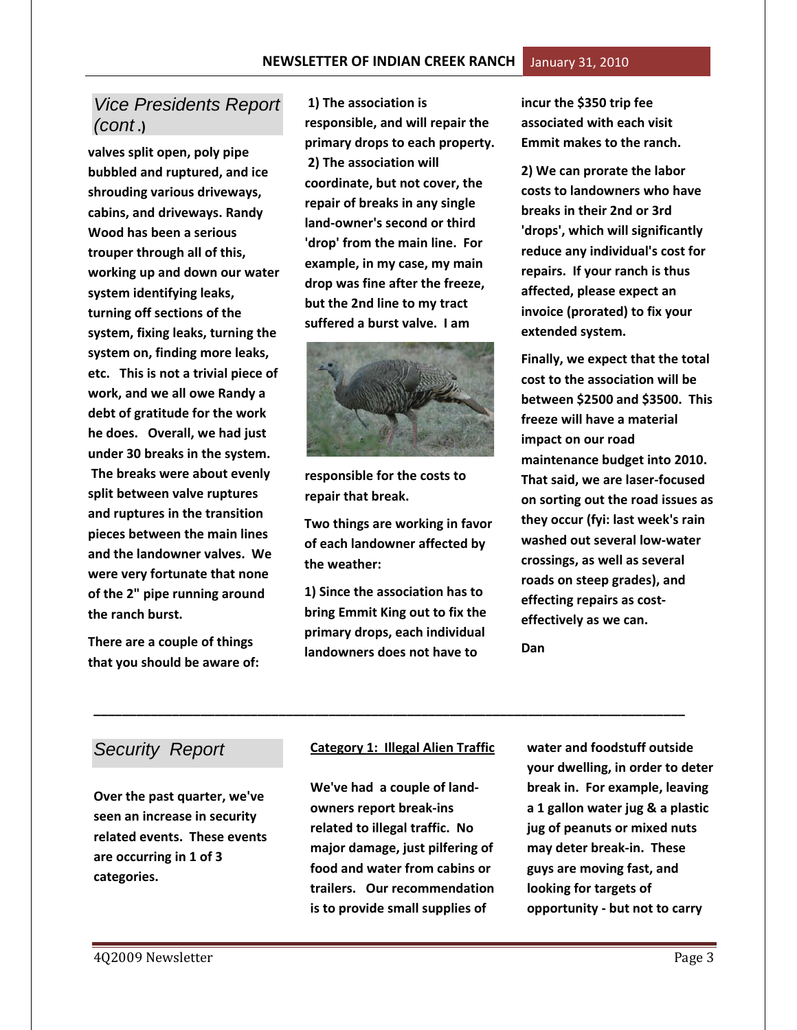# *Vice Presidents Report (cont* **.)**

**valves split open, poly pipe bubbled and ruptured, and ice shrouding various driveways, cabins, and driveways. Randy Wood has been a serious trouper through all of this, working up and down our water system identifying leaks, turning off sections of the system, fixing leaks, turning the system on, finding more leaks, etc. This is not a trivial piece of work, and we all owe Randy a debt of gratitude for the work he does. Overall, we had just under 30 breaks in the system. The breaks were about evenly split between valve ruptures and ruptures in the transition pieces between the main lines and the landowner valves. We were very fortunate that none of the 2" pipe running around the ranch burst.**

**There are a couple of things that you should be aware of:**

**1) The association is responsible, and will repair the primary drops to each property. 2) The association will coordinate, but not cover, the repair of breaks in any single land-owner's second or third 'drop' from the main line. For example, in my case, my main drop was fine after the freeze, but the 2nd line to my tract suffered a burst valve. I am**



**responsible for the costs to repair that break.**

**Two things are working in favor of each landowner affected by the weather:** 

**1) Since the association has to bring Emmit King out to fix the primary drops, each individual landowners does not have to** 

**incur the \$350 trip fee associated with each visit Emmit makes to the ranch.** 

**2) We can prorate the labor costs to landowners who have breaks in their 2nd or 3rd 'drops', which will significantly reduce any individual's cost for repairs. If your ranch is thus affected, please expect an invoice (prorated) to fix your extended system.**

**Finally, we expect that the total cost to the association will be between \$2500 and \$3500. This freeze will have a material impact on our road maintenance budget into 2010. That said, we are laser-focused on sorting out the road issues as they occur (fyi: last week's rain washed out several low-water crossings, as well as several roads on steep grades), and effecting repairs as costeffectively as we can.** 

**Dan**

## *Security Report*

**Over the past quarter, we've seen an increase in security related events. These events are occurring in 1 of 3 categories.**

#### **Category 1: Illegal Alien Traffic**

**\_\_\_\_\_\_\_\_\_\_\_\_\_\_\_\_\_\_\_\_\_\_\_\_\_\_\_\_\_\_\_\_\_\_\_\_\_\_\_\_\_\_\_\_\_\_\_\_\_\_\_\_\_\_\_\_\_\_\_\_\_\_\_\_\_\_\_\_\_\_\_\_\_\_\_\_\_\_\_\_\_\_\_**

**We've had a couple of landowners report break-ins related to illegal traffic. No major damage, just pilfering of food and water from cabins or trailers. Our recommendation is to provide small supplies of** 

**water and foodstuff outside your dwelling, in order to deter break in. For example, leaving a 1 gallon water jug & a plastic jug of peanuts or mixed nuts may deter break-in. These guys are moving fast, and looking for targets of opportunity - but not to carry**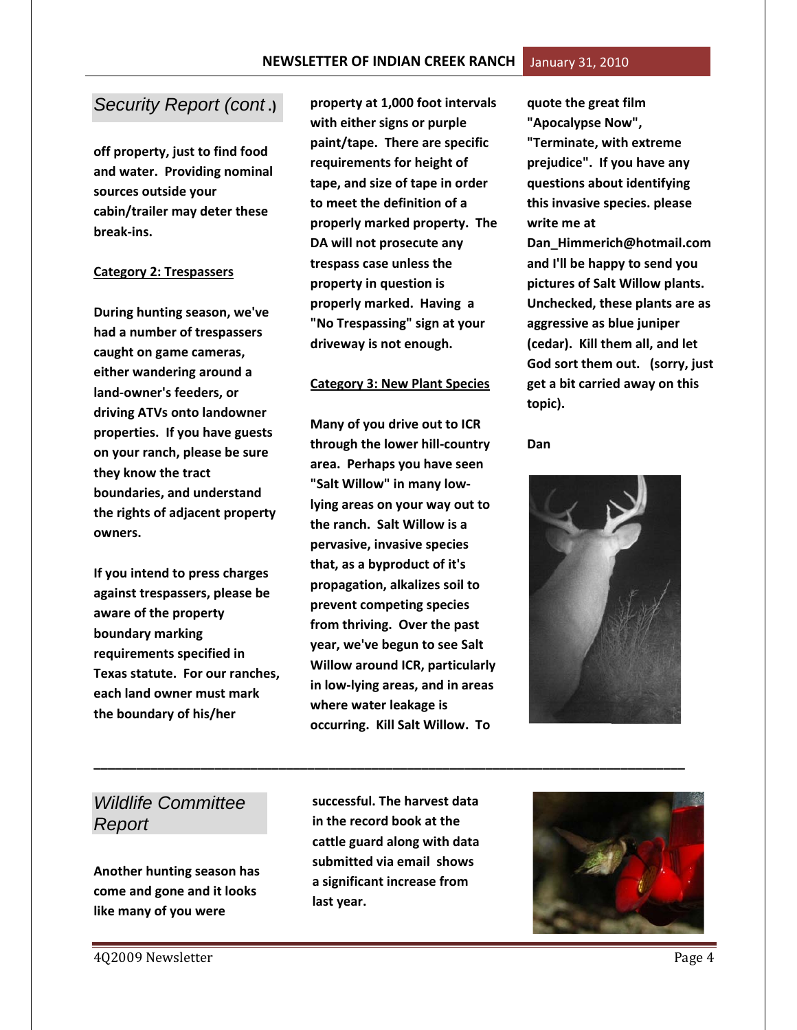#### *Security Report (cont* **.)**

**off property, just to find food and water. Providing nominal sources outside your cabin/trailer may deter these break-ins.**

#### **Category 2: Trespassers**

**During hunting season, we've had a number of trespassers caught on game cameras, either wandering around a land-owner's feeders, or driving ATVs onto landowner properties. If you have guests on your ranch, please be sure they know the tract boundaries, and understand the rights of adjacent property owners.** 

**If you intend to press charges against trespassers, please be aware of the property boundary marking requirements specified in Texas statute. For our ranches, each land owner must mark the boundary of his/her** 

**property at 1,000 foot intervals with either signs or purple paint/tape. There are specific requirements for height of tape, and size of tape in order to meet the definition of a properly marked property. The DA will not prosecute any trespass case unless the property in question is properly marked. Having a "No Trespassing" sign at your driveway is not enough.** 

#### **Category 3: New Plant Species**

**Many of you drive out to ICR through the lower hill-country area. Perhaps you have seen "Salt Willow" in many lowlying areas on your way out to the ranch. Salt Willow is a pervasive, invasive species that, as a byproduct of it's propagation, alkalizes soil to prevent competing species from thriving. Over the past year, we've begun to see Salt Willow around ICR, particularly in low-lying areas, and in areas where water leakage is occurring. Kill Salt Willow. To** 

**quote the great film "Apocalypse Now", "Terminate, with extreme prejudice". If you have any questions about identifying this invasive species. please write me at Dan\_Himmerich@hotmail.com and I'll be happy to send you pictures of Salt Willow plants. Unchecked, these plants are as aggressive as blue juniper (cedar). Kill them all, and let God sort them out. (sorry, just get a bit carried away on this topic).**

**Dan** 



# *Wildlife Committee Report*

**Another hunting season has come and gone and it looks like many of you were** 

**successful. The harvest data in the record book at the cattle guard along with data submitted via email shows a significant increase from last year.** 

**\_\_\_\_\_\_\_\_\_\_\_\_\_\_\_\_\_\_\_\_\_\_\_\_\_\_\_\_\_\_\_\_\_\_\_\_\_\_\_\_\_\_\_\_\_\_\_\_\_\_\_\_\_\_\_\_\_\_\_\_\_\_\_\_\_\_\_\_\_\_\_\_\_\_\_\_\_\_\_\_\_\_\_**

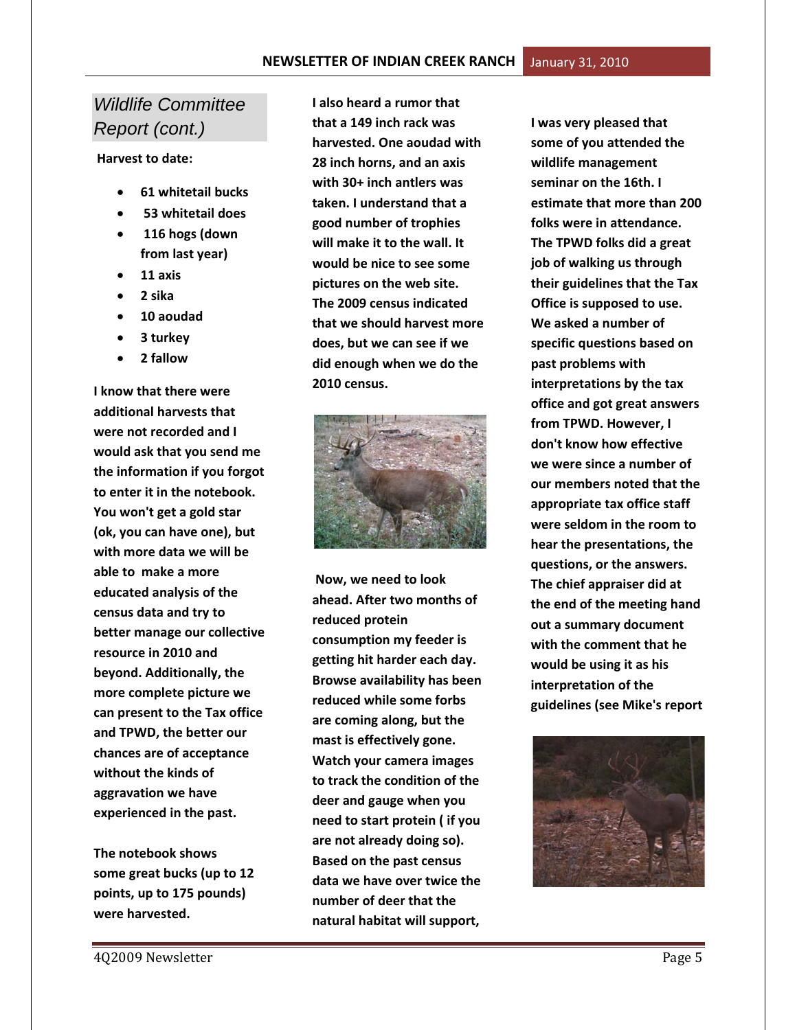# *Wildlife Committee Report (cont.)*

**Harvest to date:** 

- **61 whitetail bucks**
- **53 whitetail does**
- **116 hogs (down from last year)**
- **11 axis**
- **2 sika**
- **10 aoudad**
- **3 turkey**
- **2 fallow**

**I know that there were additional harvests that were not recorded and I would ask that you send me the information if you forgot to enter it in the notebook. You won't get a gold star (ok, you can have one), but with more data we will be able to make a more educated analysis of the census data and try to better manage our collective resource in 2010 and beyond. Additionally, the more complete picture we can present to the Tax office and TPWD, the better our chances are of acceptance without the kinds of aggravation we have experienced in the past.**

**The notebook shows some great bucks (up to 12 points, up to 175 pounds) were harvested.** 

**I also heard a rumor that that a 149 inch rack was harvested. One aoudad with 28 inch horns, and an axis with 30+ inch antlers was taken. I understand that a good number of trophies will make it to the wall. It would be nice to see some pictures on the web site. The 2009 census indicated that we should harvest more does, but we can see if we did enough when we do the 2010 census.** 



**Now, we need to look ahead. After two months of reduced protein consumption my feeder is getting hit harder each day. Browse availability has been reduced while some forbs are coming along, but the mast is effectively gone. Watch your camera images to track the condition of the deer and gauge when you need to start protein ( if you are not already doing so). Based on the past census data we have over twice the number of deer that the natural habitat will support,** 

**I was very pleased that some of you attended the wildlife management seminar on the 16th. I estimate that more than 200 folks were in attendance. The TPWD folks did a great job of walking us through their guidelines that the Tax Office is supposed to use. We asked a number of specific questions based on past problems with interpretations by the tax office and got great answers from TPWD. However, I don't know how effective we were since a number of our members noted that the appropriate tax office staff were seldom in the room to hear the presentations, the questions, or the answers. The chief appraiser did at the end of the meeting hand out a summary document with the comment that he would be using it as his interpretation of the guidelines (see Mike's report**

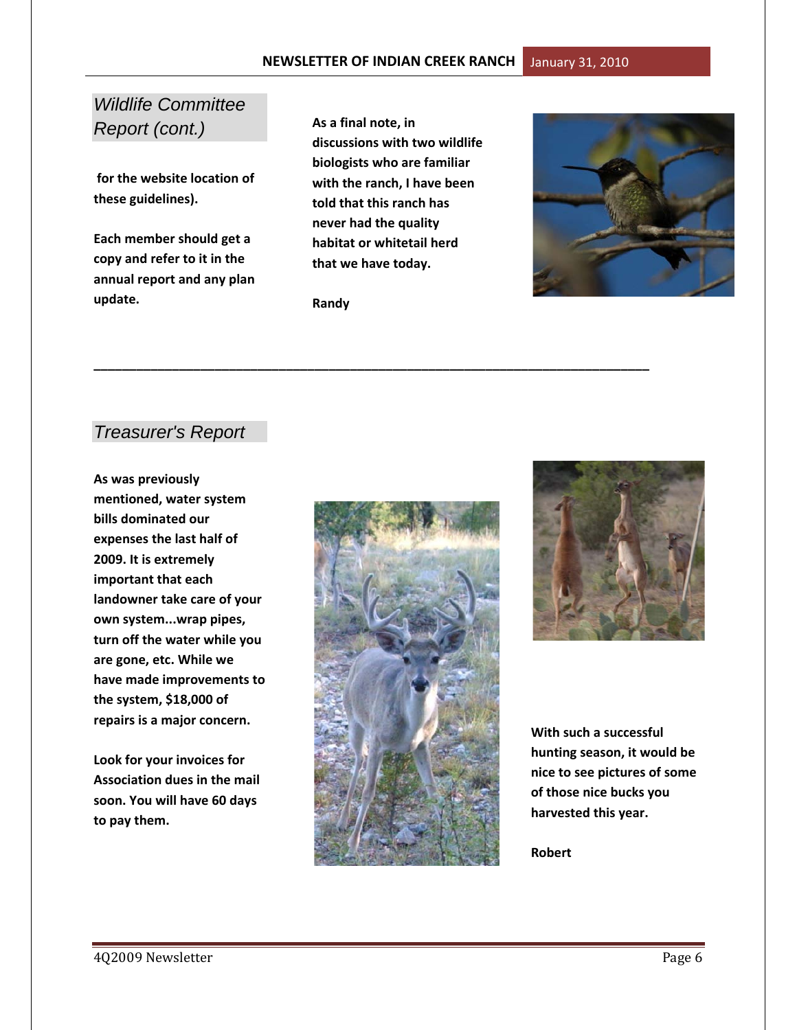# *Wildlife Committee Report (cont.)*

**for the website location of these guidelines).** 

**Each member should get a copy and refer to it in the annual report and any plan update.** 

**As a final note, in discussions with two wildlife biologists who are familiar with the ranch, I have been told that this ranch has never had the quality habitat or whitetail herd that we have today.**

**Randy**

**\_\_\_\_\_\_\_\_\_\_\_\_\_\_\_\_\_\_\_\_\_\_\_\_\_\_\_\_\_\_\_\_\_\_\_\_\_\_\_\_\_\_\_\_\_\_\_\_\_\_\_\_\_\_\_\_\_\_\_\_\_\_\_\_\_\_\_\_\_\_\_\_\_\_\_\_\_\_**



## *Treasurer's Report*

**As was previously mentioned, water system bills dominated our expenses the last half of 2009. It is extremely important that each landowner take care of your own system...wrap pipes, turn off the water while you are gone, etc. While we have made improvements to the system, \$18,000 of repairs is a major concern.**

**Look for your invoices for Association dues in the mail soon. You will have 60 days to pay them.**





**With such a successful hunting season, it would be nice to see pictures of some of those nice bucks you harvested this year.** 

**Robert**